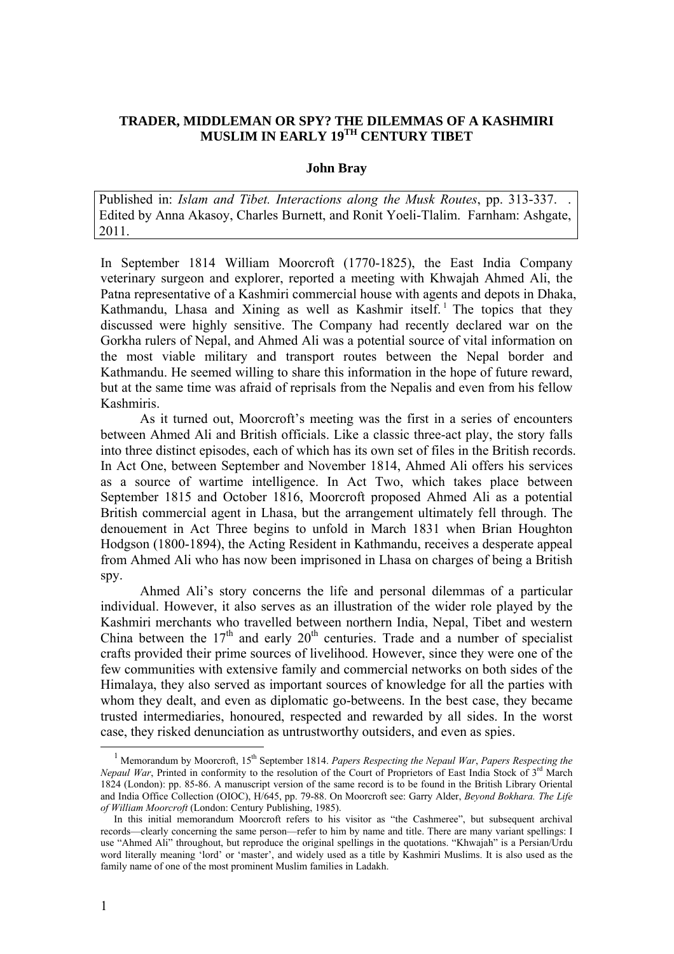# **TRADER, MIDDLEMAN OR SPY? THE DILEMMAS OF A KASHMIRI MUSLIM IN EARLY 19TH CENTURY TIBET**

## **John Bray**

Published in: *Islam and Tibet. Interactions along the Musk Routes*, pp. 313-337. . Edited by Anna Akasoy, Charles Burnett, and Ronit Yoeli-Tlalim. Farnham: Ashgate, 2011.

In September 1814 William Moorcroft (1770-1825), the East India Company veterinary surgeon and explorer, reported a meeting with Khwajah Ahmed Ali, the Patna representative of a Kashmiri commercial house with agents and depots in Dhaka, Kathmandu, Lhasa and Xining as well as Kashmir itself.<sup>1</sup> The topics that they discussed were highly sensitive. The Company had recently declared war on the Gorkha rulers of Nepal, and Ahmed Ali was a potential source of vital information on the most viable military and transport routes between the Nepal border and Kathmandu. He seemed willing to share this information in the hope of future reward, but at the same time was afraid of reprisals from the Nepalis and even from his fellow Kashmiris.

As it turned out, Moorcroft's meeting was the first in a series of encounters between Ahmed Ali and British officials. Like a classic three-act play, the story falls into three distinct episodes, each of which has its own set of files in the British records. In Act One, between September and November 1814, Ahmed Ali offers his services as a source of wartime intelligence. In Act Two, which takes place between September 1815 and October 1816, Moorcroft proposed Ahmed Ali as a potential British commercial agent in Lhasa, but the arrangement ultimately fell through. The denouement in Act Three begins to unfold in March 1831 when Brian Houghton Hodgson (1800-1894), the Acting Resident in Kathmandu, receives a desperate appeal from Ahmed Ali who has now been imprisoned in Lhasa on charges of being a British spy.

Ahmed Ali's story concerns the life and personal dilemmas of a particular individual. However, it also serves as an illustration of the wider role played by the Kashmiri merchants who travelled between northern India, Nepal, Tibet and western China between the  $17<sup>th</sup>$  and early  $20<sup>th</sup>$  centuries. Trade and a number of specialist crafts provided their prime sources of livelihood. However, since they were one of the few communities with extensive family and commercial networks on both sides of the Himalaya, they also served as important sources of knowledge for all the parties with whom they dealt, and even as diplomatic go-betweens. In the best case, they became trusted intermediaries, honoured, respected and rewarded by all sides. In the worst case, they risked denunciation as untrustworthy outsiders, and even as spies.

 $\frac{1}{1}$  Memorandum by Moorcroft, 15th September 1814. *Papers Respecting the Nepaul War*, *Papers Respecting the Nepaul War*, Printed in conformity to the resolution of the Court of Proprietors of East India Stock of 3<sup>rd</sup> March 1824 (London): pp. 85-86. A manuscript version of the same record is to be found in the British Library Oriental and India Office Collection (OIOC), H/645, pp. 79-88. On Moorcroft see: Garry Alder, *Beyond Bokhara. The Life of William Moorcroft* (London: Century Publishing, 1985).

In this initial memorandum Moorcroft refers to his visitor as "the Cashmeree", but subsequent archival records—clearly concerning the same person—refer to him by name and title. There are many variant spellings: I use "Ahmed Ali" throughout, but reproduce the original spellings in the quotations. "Khwajah" is a Persian/Urdu word literally meaning 'lord' or 'master', and widely used as a title by Kashmiri Muslims. It is also used as the family name of one of the most prominent Muslim families in Ladakh.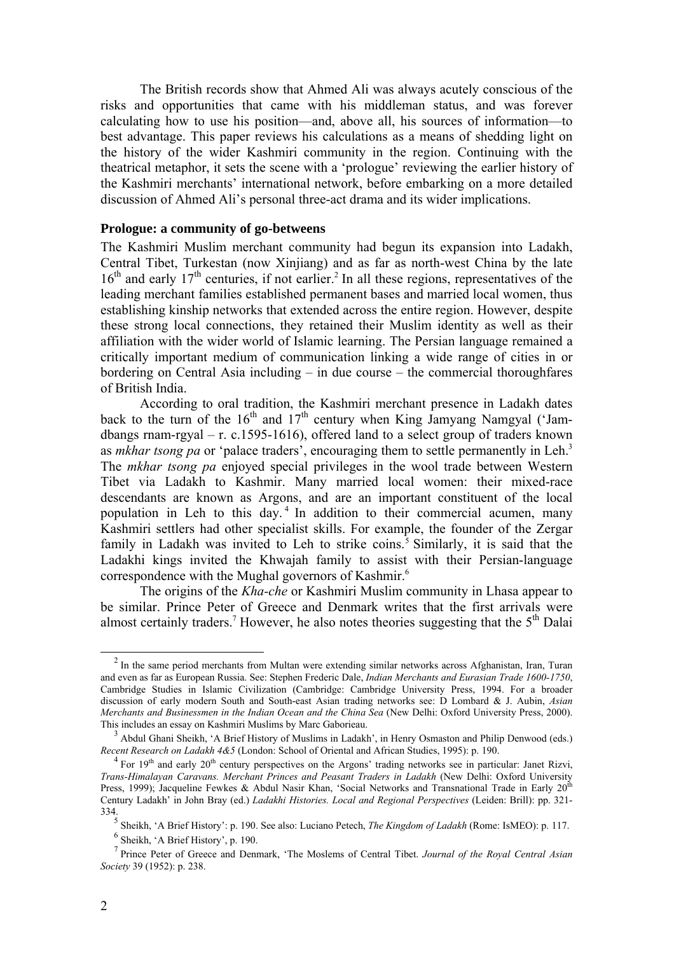The British records show that Ahmed Ali was always acutely conscious of the risks and opportunities that came with his middleman status, and was forever calculating how to use his position—and, above all, his sources of information—to best advantage. This paper reviews his calculations as a means of shedding light on the history of the wider Kashmiri community in the region. Continuing with the theatrical metaphor, it sets the scene with a 'prologue' reviewing the earlier history of the Kashmiri merchants' international network, before embarking on a more detailed discussion of Ahmed Ali's personal three-act drama and its wider implications.

### **Prologue: a community of go-betweens**

The Kashmiri Muslim merchant community had begun its expansion into Ladakh, Central Tibet, Turkestan (now Xinjiang) and as far as north-west China by the late  $16<sup>th</sup>$  and early  $17<sup>th</sup>$  centuries, if not earlier.<sup>2</sup> In all these regions, representatives of the leading merchant families established permanent bases and married local women, thus establishing kinship networks that extended across the entire region. However, despite these strong local connections, they retained their Muslim identity as well as their affiliation with the wider world of Islamic learning. The Persian language remained a critically important medium of communication linking a wide range of cities in or bordering on Central Asia including – in due course – the commercial thoroughfares of British India.

According to oral tradition, the Kashmiri merchant presence in Ladakh dates back to the turn of the  $16<sup>th</sup>$  and  $17<sup>th</sup>$  century when King Jamyang Namgyal ('Jamdbangs rnam-rgyal – r. c.1595-1616), offered land to a select group of traders known as *mkhar tsong pa* or 'palace traders', encouraging them to settle permanently in Leh.<sup>3</sup> The *mkhar tsong pa* enjoyed special privileges in the wool trade between Western Tibet via Ladakh to Kashmir. Many married local women: their mixed-race descendants are known as Argons, and are an important constituent of the local population in Leh to this day. 4 In addition to their commercial acumen, many Kashmiri settlers had other specialist skills. For example, the founder of the Zergar family in Ladakh was invited to Leh to strike coins.<sup>5</sup> Similarly, it is said that the Ladakhi kings invited the Khwajah family to assist with their Persian-language correspondence with the Mughal governors of Kashmir.<sup>6</sup>

The origins of the *Kha-che* or Kashmiri Muslim community in Lhasa appear to be similar. Prince Peter of Greece and Denmark writes that the first arrivals were almost certainly traders.<sup>7</sup> However, he also notes theories suggesting that the  $5<sup>th</sup>$  Dalai

<sup>&</sup>lt;sup>2</sup> In the same period merchants from Multan were extending similar networks across Afghanistan, Iran, Turan and even as far as European Russia. See: Stephen Frederic Dale, *Indian Merchants and Eurasian Trade 1600-1750*, Cambridge Studies in Islamic Civilization (Cambridge: Cambridge University Press, 1994. For a broader discussion of early modern South and South-east Asian trading networks see: D Lombard & J. Aubin, *Asian Merchants and Businessmen in the Indian Ocean and the China Sea* (New Delhi: Oxford University Press, 2000). This includes an essay on Kashmiri Muslims by Marc Gaborieau.

<sup>&</sup>lt;sup>3</sup> Abdul Ghani Sheikh, 'A Brief History of Muslims in Ladakh', in Henry Osmaston and Philip Denwood (eds.) *Recent Research on Ladakh 4&5* (London: School of Oriental and African Studies, 1995): p. 190.

 $^{4}$  For 19<sup>th</sup> and early 20<sup>th</sup> century perspectives on the Argons' trading networks see in particular: Janet Rizvi, *Trans-Himalayan Caravans. Merchant Princes and Peasant Traders in Ladakh* (New Delhi: Oxford University Press, 1999); Jacqueline Fewkes & Abdul Nasir Khan, 'Social Networks and Transnational Trade in Early  $20<sup>th</sup>$ Century Ladakh' in John Bray (ed.) *Ladakhi Histories. Local and Regional Perspectives* (Leiden: Brill): pp. 321- 334.

<sup>5</sup> Sheikh, 'A Brief History': p. 190. See also: Luciano Petech, *The Kingdom of Ladakh* (Rome: IsMEO): p. 117. 6 Sheikh, 'A Brief History', p. 190.

<sup>7</sup> Prince Peter of Greece and Denmark, 'The Moslems of Central Tibet. *Journal of the Royal Central Asian Society* 39 (1952): p. 238.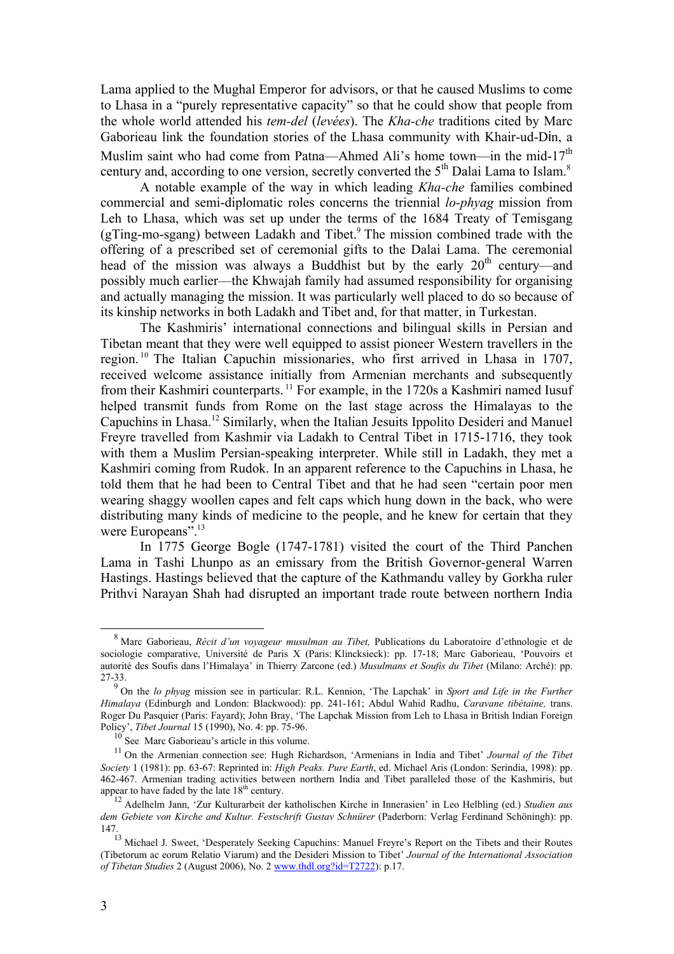Lama applied to the Mughal Emperor for advisors, or that he caused Muslims to come to Lhasa in a "purely representative capacity" so that he could show that people from the whole world attended his *tem-del* (*levées*). The *Kha-che* traditions cited by Marc Gaborieau link the foundation stories of the Lhasa community with Khair-ud-Din, a Muslim saint who had come from Patna—Ahmed Ali's home town—in the mid-17<sup>th</sup> century and, according to one version, secretly converted the  $5<sup>th</sup>$  Dalai Lama to Islam.<sup>8</sup>

A notable example of the way in which leading *Kha-che* families combined commercial and semi-diplomatic roles concerns the triennial *lo-phyag* mission from Leh to Lhasa, which was set up under the terms of the 1684 Treaty of Temisgang  $(gTing-mo-sgang)$  between Ladakh and Tibet.<sup>9</sup> The mission combined trade with the offering of a prescribed set of ceremonial gifts to the Dalai Lama. The ceremonial head of the mission was always a Buddhist but by the early  $20<sup>th</sup>$  century—and possibly much earlier—the Khwajah family had assumed responsibility for organising and actually managing the mission. It was particularly well placed to do so because of its kinship networks in both Ladakh and Tibet and, for that matter, in Turkestan.

The Kashmiris' international connections and bilingual skills in Persian and Tibetan meant that they were well equipped to assist pioneer Western travellers in the region. 10 The Italian Capuchin missionaries, who first arrived in Lhasa in 1707, received welcome assistance initially from Armenian merchants and subsequently from their Kashmiri counterparts. 11 For example, in the 1720s a Kashmiri named Iusuf helped transmit funds from Rome on the last stage across the Himalayas to the Capuchins in Lhasa.12 Similarly, when the Italian Jesuits Ippolito Desideri and Manuel Freyre travelled from Kashmir via Ladakh to Central Tibet in 1715-1716, they took with them a Muslim Persian-speaking interpreter. While still in Ladakh, they met a Kashmiri coming from Rudok. In an apparent reference to the Capuchins in Lhasa, he told them that he had been to Central Tibet and that he had seen "certain poor men wearing shaggy woollen capes and felt caps which hung down in the back, who were distributing many kinds of medicine to the people, and he knew for certain that they were Europeans".<sup>13</sup>

In 1775 George Bogle (1747-1781) visited the court of the Third Panchen Lama in Tashi Lhunpo as an emissary from the British Governor-general Warren Hastings. Hastings believed that the capture of the Kathmandu valley by Gorkha ruler Prithvi Narayan Shah had disrupted an important trade route between northern India

 <sup>8</sup> Marc Gaborieau, *Récit d'un voyageur musulman au Tibet,* Publications du Laboratoire d'ethnologie et de sociologie comparative, Université de Paris X (Paris: Klincksieck): pp. 17-18; Marc Gaborieau, 'Pouvoirs et autorité des Soufis dans l'Himalaya' in Thierry Zarcone (ed.) *Musulmans et Soufis du Tibet* (Milano: Arché): pp. 27-33.

<sup>9</sup> On the *lo phyag* mission see in particular: R.L. Kennion, 'The Lapchak' in *Sport and Life in the Further Himalaya* (Edinburgh and London: Blackwood): pp. 241-161; Abdul Wahid Radhu, *Caravane tibétaine,* trans. Roger Du Pasquier (Paris: Fayard); John Bray, 'The Lapchak Mission from Leh to Lhasa in British Indian Foreign Policy', *Tibet Journal* 15 (1990), No. 4: pp. 75-96.

 $10^{10}$  See Marc Gaborieau's article in this volume.

<sup>11</sup> On the Armenian connection see: Hugh Richardson, 'Armenians in India and Tibet' *Journal of the Tibet Society* 1 (1981): pp. 63-67: Reprinted in: *High Peaks. Pure Earth*, ed. Michael Aris (London: Serindia, 1998): pp. 462-467. Armenian trading activities between northern India and Tibet paralleled those of the Kashmiris, but appear to have faded by the late  $18<sup>th</sup>$  century.

<sup>12</sup> Adelhelm Jann, 'Zur Kulturarbeit der katholischen Kirche in Innerasien' in Leo Helbling (ed.) *Studien aus dem Gebiete von Kirche and Kultur. Festschrift Gustav Schnürer* (Paderborn: Verlag Ferdinand Schöningh): pp. 147.

<sup>&</sup>lt;sup>13</sup> Michael J. Sweet, 'Desperately Seeking Capuchins: Manuel Freyre's Report on the Tibets and their Routes (Tibetorum ac eorum Relatio Viarum) and the Desideri Mission to Tibet' *Journal of the International Association of Tibetan Studies* 2 (August 2006), No. 2 www.thdl.org?id=T2722): p.17.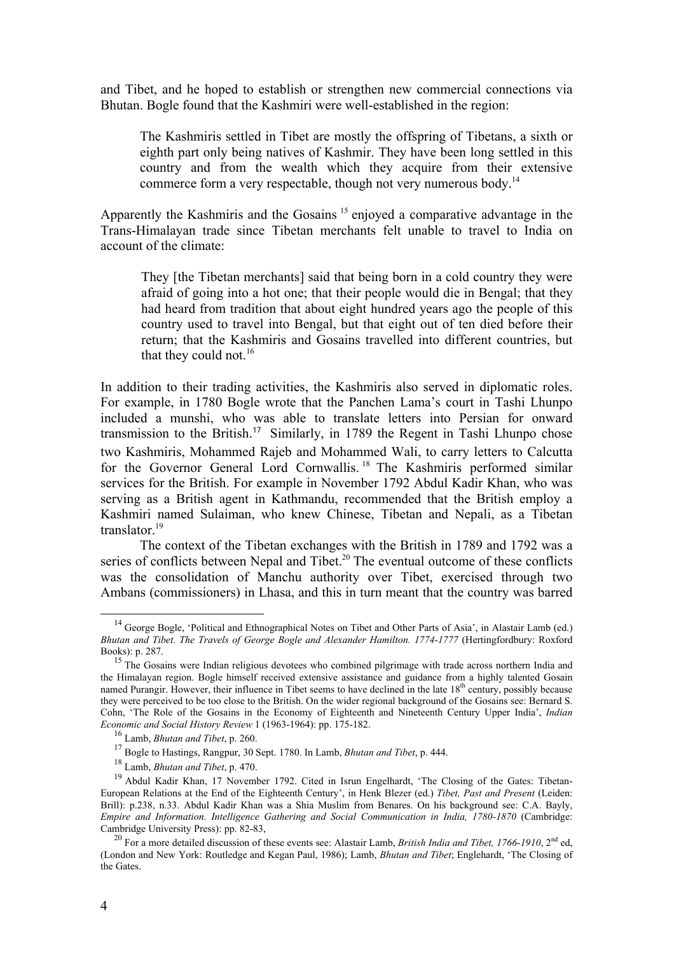and Tibet, and he hoped to establish or strengthen new commercial connections via Bhutan. Bogle found that the Kashmiri were well-established in the region:

The Kashmiris settled in Tibet are mostly the offspring of Tibetans, a sixth or eighth part only being natives of Kashmir. They have been long settled in this country and from the wealth which they acquire from their extensive commerce form a very respectable, though not very numerous body.14

Apparently the Kashmiris and the Gosains<sup>15</sup> enjoyed a comparative advantage in the Trans-Himalayan trade since Tibetan merchants felt unable to travel to India on account of the climate:

They [the Tibetan merchants] said that being born in a cold country they were afraid of going into a hot one; that their people would die in Bengal; that they had heard from tradition that about eight hundred years ago the people of this country used to travel into Bengal, but that eight out of ten died before their return; that the Kashmiris and Gosains travelled into different countries, but that they could not.<sup>16</sup>

In addition to their trading activities, the Kashmiris also served in diplomatic roles. For example, in 1780 Bogle wrote that the Panchen Lama's court in Tashi Lhunpo included a munshi, who was able to translate letters into Persian for onward transmission to the British. <sup>17</sup> Similarly, in 1789 the Regent in Tashi Lhunpo chose two Kashmiris, Mohammed Rajeb and Mohammed Wali, to carry letters to Calcutta for the Governor General Lord Cornwallis.<sup>18</sup> The Kashmiris performed similar services for the British. For example in November 1792 Abdul Kadir Khan, who was serving as a British agent in Kathmandu, recommended that the British employ a Kashmiri named Sulaiman, who knew Chinese, Tibetan and Nepali, as a Tibetan translator $19$ 

The context of the Tibetan exchanges with the British in 1789 and 1792 was a series of conflicts between Nepal and Tibet. $20$  The eventual outcome of these conflicts was the consolidation of Manchu authority over Tibet, exercised through two Ambans (commissioners) in Lhasa, and this in turn meant that the country was barred

<sup>&</sup>lt;sup>14</sup> George Bogle, 'Political and Ethnographical Notes on Tibet and Other Parts of Asia', in Alastair Lamb (ed.) *Bhutan and Tibet. The Travels of George Bogle and Alexander Hamilton. 1774-1777* (Hertingfordbury: Roxford Books): p. 287.

<sup>&</sup>lt;sup>15</sup> The Gosains were Indian religious devotees who combined pilgrimage with trade across northern India and the Himalayan region. Bogle himself received extensive assistance and guidance from a highly talented Gosain named Purangir. However, their influence in Tibet seems to have declined in the late 18<sup>th</sup> century, possibly because they were perceived to be too close to the British. On the wider regional background of the Gosains see: Bernard S. Cohn, 'The Role of the Gosains in the Economy of Eighteenth and Nineteenth Century Upper India', *Indian Economic and Social History Review* 1 (1963-1964): pp. 175-182.

<sup>16</sup> Lamb, *Bhutan and Tibet*, p. 260.

<sup>17</sup> Bogle to Hastings, Rangpur, 30 Sept. 1780. In Lamb, *Bhutan and Tibet*, p. 444.

<sup>18</sup> Lamb, *Bhutan and Tibet*, p. 470.

<sup>19</sup> Abdul Kadir Khan, 17 November 1792. Cited in Isrun Engelhardt, 'The Closing of the Gates: Tibetan-European Relations at the End of the Eighteenth Century', in Henk Blezer (ed.) *Tibet, Past and Present* (Leiden: Brill): p.238, n.33. Abdul Kadir Khan was a Shia Muslim from Benares. On his background see: C.A. Bayly, *Empire and Information. Intelligence Gathering and Social Communication in India, 1780-1870* (Cambridge: Cambridge University Press): pp. 82-83,

<sup>&</sup>lt;sup>20</sup> For a more detailed discussion of these events see: Alastair Lamb, *British India and Tibet, 1766-1910*, 2<sup>nd</sup> ed, (London and New York: Routledge and Kegan Paul, 1986); Lamb, *Bhutan and Tibet*; Englehardt, 'The Closing of the Gates.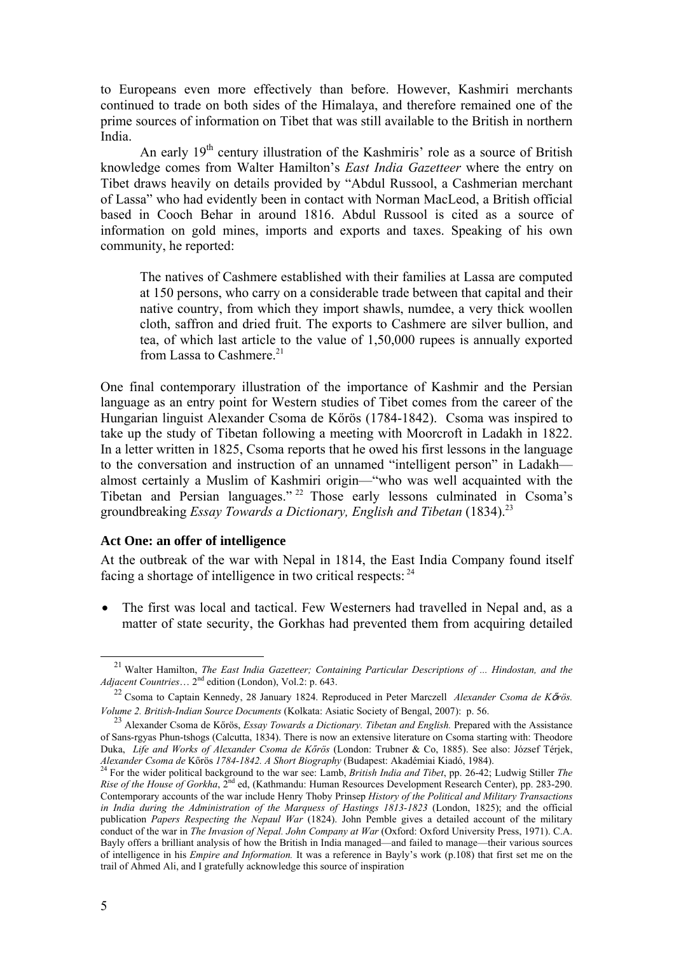to Europeans even more effectively than before. However, Kashmiri merchants continued to trade on both sides of the Himalaya, and therefore remained one of the prime sources of information on Tibet that was still available to the British in northern India.

An early  $19<sup>th</sup>$  century illustration of the Kashmiris' role as a source of British knowledge comes from Walter Hamilton's *East India Gazetteer* where the entry on Tibet draws heavily on details provided by "Abdul Russool, a Cashmerian merchant of Lassa" who had evidently been in contact with Norman MacLeod, a British official based in Cooch Behar in around 1816. Abdul Russool is cited as a source of information on gold mines, imports and exports and taxes. Speaking of his own community, he reported:

The natives of Cashmere established with their families at Lassa are computed at 150 persons, who carry on a considerable trade between that capital and their native country, from which they import shawls, numdee, a very thick woollen cloth, saffron and dried fruit. The exports to Cashmere are silver bullion, and tea, of which last article to the value of 1,50,000 rupees is annually exported from Lassa to Cashmere<sup>21</sup>

One final contemporary illustration of the importance of Kashmir and the Persian language as an entry point for Western studies of Tibet comes from the career of the Hungarian linguist Alexander Csoma de Kőrös (1784-1842). Csoma was inspired to take up the study of Tibetan following a meeting with Moorcroft in Ladakh in 1822. In a letter written in 1825, Csoma reports that he owed his first lessons in the language to the conversation and instruction of an unnamed "intelligent person" in Ladakh almost certainly a Muslim of Kashmiri origin—"who was well acquainted with the Tibetan and Persian languages." 22 Those early lessons culminated in Csoma's groundbreaking *Essay Towards a Dictionary, English and Tibetan* (1834).23

#### **Act One: an offer of intelligence**

At the outbreak of the war with Nepal in 1814, the East India Company found itself facing a shortage of intelligence in two critical respects: 24

 The first was local and tactical. Few Westerners had travelled in Nepal and, as a matter of state security, the Gorkhas had prevented them from acquiring detailed

 <sup>21</sup> Walter Hamilton, *The East India Gazetteer; Containing Particular Descriptions of ... Hindostan, and the Adjacent Countries*… 2nd edition (London), Vol.2: p. 643.

<sup>22</sup> Csoma to Captain Kennedy, 28 January 1824. Reproduced in Peter Marczell *Alexander Csoma de K*ő*rös. Volume 2. British-Indian Source Documents* (Kolkata: Asiatic Society of Bengal, 2007): p. 56.

<sup>23</sup> Alexander Csoma de Kőrös, *Essay Towards a Dictionary. Tibetan and English.* Prepared with the Assistance of Sans-rgyas Phun-tshogs (Calcutta, 1834). There is now an extensive literature on Csoma starting with: Theodore Duka, *Life and Works of Alexander Csoma de Kőrös* (London: Trubner & Co, 1885). See also: József Térjek, Alexander Csoma de Kőrös 1784-1842. A Short Biography (Budapest: Akadémiai Kiadó, 1984).<br><sup>24</sup> For the wider political background to the war see: Lamb, *British India and Tibet*, pp. 26-42; Ludwig Stiller *The* 

*Rise of the House of Gorkha*, 2nd ed, (Kathmandu: Human Resources Development Research Center), pp. 283-290. Contemporary accounts of the war include Henry Thoby Prinsep *History of the Political and Military Transactions in India during the Administration of the Marquess of Hastings 1813-1823* (London, 1825); and the official publication *Papers Respecting the Nepaul War* (1824). John Pemble gives a detailed account of the military conduct of the war in *The Invasion of Nepal. John Company at War* (Oxford: Oxford University Press, 1971). C.A. Bayly offers a brilliant analysis of how the British in India managed—and failed to manage—their various sources of intelligence in his *Empire and Information.* It was a reference in Bayly's work (p.108) that first set me on the trail of Ahmed Ali, and I gratefully acknowledge this source of inspiration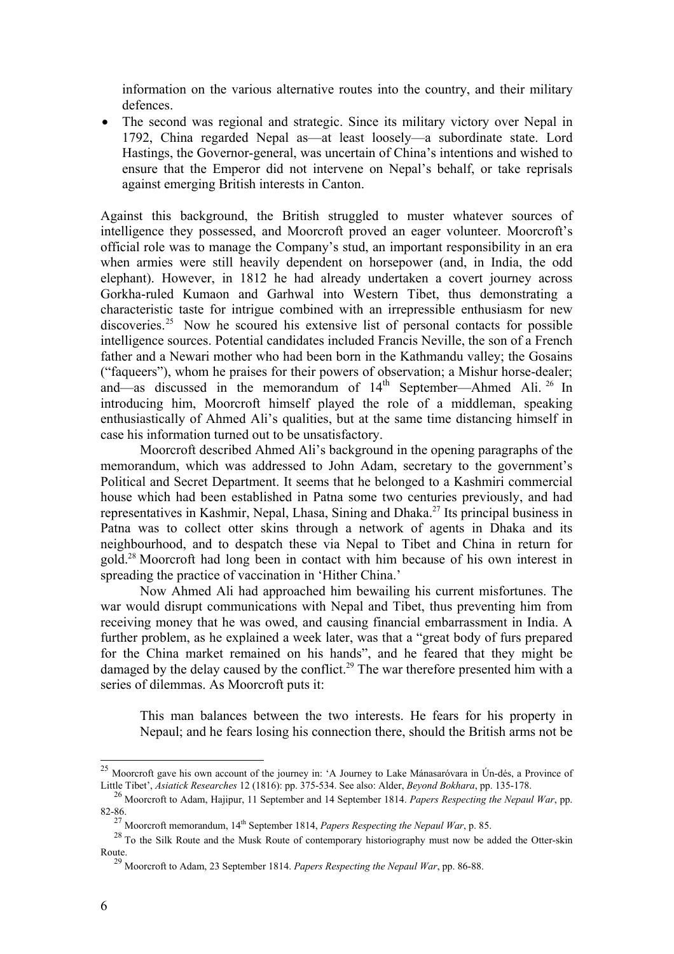information on the various alternative routes into the country, and their military defences.

• The second was regional and strategic. Since its military victory over Nepal in 1792, China regarded Nepal as—at least loosely—a subordinate state. Lord Hastings, the Governor-general, was uncertain of China's intentions and wished to ensure that the Emperor did not intervene on Nepal's behalf, or take reprisals against emerging British interests in Canton.

Against this background, the British struggled to muster whatever sources of intelligence they possessed, and Moorcroft proved an eager volunteer. Moorcroft's official role was to manage the Company's stud, an important responsibility in an era when armies were still heavily dependent on horsepower (and, in India, the odd elephant). However, in 1812 he had already undertaken a covert journey across Gorkha-ruled Kumaon and Garhwal into Western Tibet, thus demonstrating a characteristic taste for intrigue combined with an irrepressible enthusiasm for new discoveries.<sup>25</sup> Now he scoured his extensive list of personal contacts for possible intelligence sources. Potential candidates included Francis Neville, the son of a French father and a Newari mother who had been born in the Kathmandu valley; the Gosains ("faqueers"), whom he praises for their powers of observation; a Mishur horse-dealer; and—as discussed in the memorandum of 14<sup>th</sup> September—Ahmed Ali.<sup>26</sup> In introducing him, Moorcroft himself played the role of a middleman, speaking enthusiastically of Ahmed Ali's qualities, but at the same time distancing himself in case his information turned out to be unsatisfactory.

Moorcroft described Ahmed Ali's background in the opening paragraphs of the memorandum, which was addressed to John Adam, secretary to the government's Political and Secret Department. It seems that he belonged to a Kashmiri commercial house which had been established in Patna some two centuries previously, and had representatives in Kashmir, Nepal, Lhasa, Sining and Dhaka.27 Its principal business in Patna was to collect otter skins through a network of agents in Dhaka and its neighbourhood, and to despatch these via Nepal to Tibet and China in return for gold.28 Moorcroft had long been in contact with him because of his own interest in spreading the practice of vaccination in 'Hither China.'

Now Ahmed Ali had approached him bewailing his current misfortunes. The war would disrupt communications with Nepal and Tibet, thus preventing him from receiving money that he was owed, and causing financial embarrassment in India. A further problem, as he explained a week later, was that a "great body of furs prepared for the China market remained on his hands", and he feared that they might be damaged by the delay caused by the conflict.<sup>29</sup> The war therefore presented him with a series of dilemmas. As Moorcroft puts it:

This man balances between the two interests. He fears for his property in Nepaul; and he fears losing his connection there, should the British arms not be

l

<sup>&</sup>lt;sup>25</sup> Moorcroft gave his own account of the journey in: 'A Journey to Lake Mánasaróvara in Ún-dés, a Province of Little Tibet', *Asiatick Researches* 12 (1816): pp. 375-534. See also: Alder, *Beyond Bokhara*, pp. 135-178.

<sup>26</sup> Moorcroft to Adam, Hajipur, 11 September and 14 September 1814. *Papers Respecting the Nepaul War*, pp. 82-86.

<sup>&</sup>lt;sup>27</sup> Moorcroft memorandum, 14<sup>th</sup> September 1814, *Papers Respecting the Nepaul War*, p. 85.

<sup>&</sup>lt;sup>28</sup> To the Silk Route and the Musk Route of contemporary historiography must now be added the Otter-skin Route.

<sup>29</sup> Moorcroft to Adam, 23 September 1814. *Papers Respecting the Nepaul War*, pp. 86-88.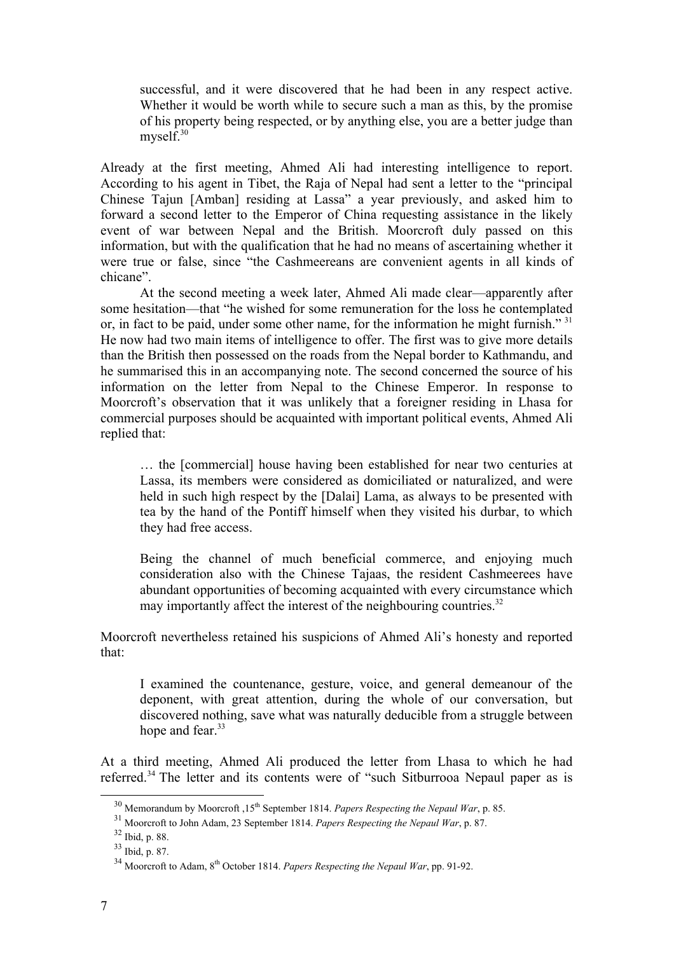successful, and it were discovered that he had been in any respect active. Whether it would be worth while to secure such a man as this, by the promise of his property being respected, or by anything else, you are a better judge than myself.<sup>30</sup>

Already at the first meeting, Ahmed Ali had interesting intelligence to report. According to his agent in Tibet, the Raja of Nepal had sent a letter to the "principal Chinese Tajun [Amban] residing at Lassa" a year previously, and asked him to forward a second letter to the Emperor of China requesting assistance in the likely event of war between Nepal and the British. Moorcroft duly passed on this information, but with the qualification that he had no means of ascertaining whether it were true or false, since "the Cashmeereans are convenient agents in all kinds of chicane".

At the second meeting a week later, Ahmed Ali made clear—apparently after some hesitation—that "he wished for some remuneration for the loss he contemplated or, in fact to be paid, under some other name, for the information he might furnish."<sup>31</sup> He now had two main items of intelligence to offer. The first was to give more details than the British then possessed on the roads from the Nepal border to Kathmandu, and he summarised this in an accompanying note. The second concerned the source of his information on the letter from Nepal to the Chinese Emperor. In response to Moorcroft's observation that it was unlikely that a foreigner residing in Lhasa for commercial purposes should be acquainted with important political events, Ahmed Ali replied that:

… the [commercial] house having been established for near two centuries at Lassa, its members were considered as domiciliated or naturalized, and were held in such high respect by the [Dalai] Lama, as always to be presented with tea by the hand of the Pontiff himself when they visited his durbar, to which they had free access.

Being the channel of much beneficial commerce, and enjoying much consideration also with the Chinese Tajaas, the resident Cashmeerees have abundant opportunities of becoming acquainted with every circumstance which may importantly affect the interest of the neighbouring countries.<sup>32</sup>

Moorcroft nevertheless retained his suspicions of Ahmed Ali's honesty and reported that:

I examined the countenance, gesture, voice, and general demeanour of the deponent, with great attention, during the whole of our conversation, but discovered nothing, save what was naturally deducible from a struggle between hope and fear. $33$ 

At a third meeting, Ahmed Ali produced the letter from Lhasa to which he had referred.34 The letter and its contents were of "such Sitburrooa Nepaul paper as is

<sup>&</sup>lt;sup>30</sup> Memorandum by Moorcroft ,15<sup>th</sup> September 1814. *Papers Respecting the Nepaul War*, p. 85.

<sup>31</sup> Moorcroft to John Adam, 23 September 1814. *Papers Respecting the Nepaul War*, p. 87.

<sup>32</sup> Ibid, p. 88.

<sup>33</sup> Ibid, p. 87.

<sup>&</sup>lt;sup>34</sup> Moorcroft to Adam, 8<sup>th</sup> October 1814. *Papers Respecting the Nepaul War*, pp. 91-92.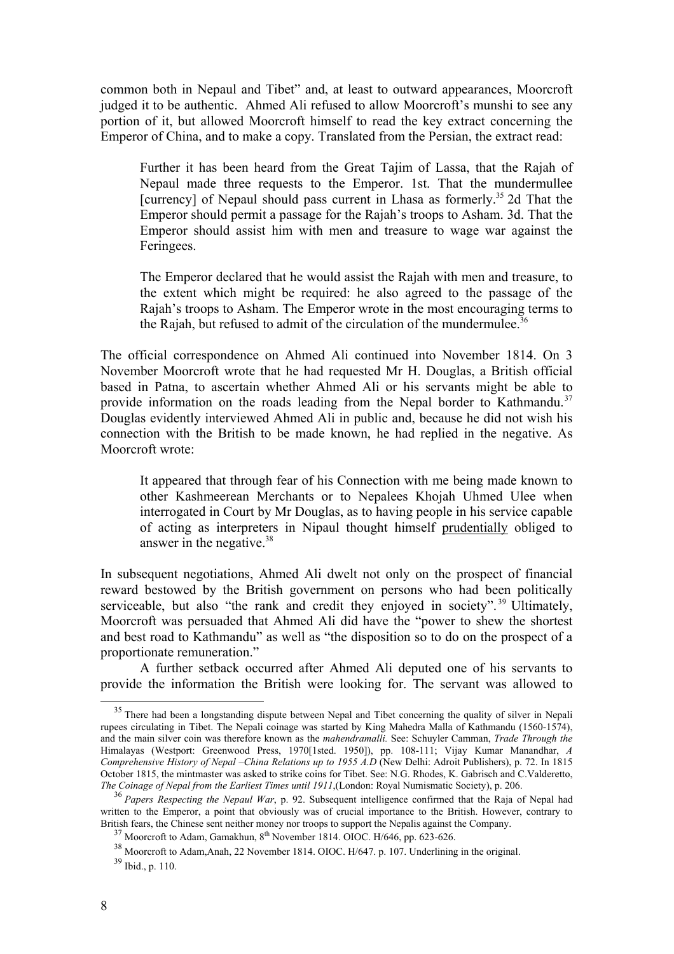common both in Nepaul and Tibet" and, at least to outward appearances, Moorcroft judged it to be authentic. Ahmed Ali refused to allow Moorcroft's munshi to see any portion of it, but allowed Moorcroft himself to read the key extract concerning the Emperor of China, and to make a copy. Translated from the Persian, the extract read:

Further it has been heard from the Great Tajim of Lassa, that the Rajah of Nepaul made three requests to the Emperor. 1st. That the mundermullee [currency] of Nepaul should pass current in Lhasa as formerly.<sup>35</sup> 2d That the Emperor should permit a passage for the Rajah's troops to Asham. 3d. That the Emperor should assist him with men and treasure to wage war against the Feringees.

The Emperor declared that he would assist the Rajah with men and treasure, to the extent which might be required: he also agreed to the passage of the Rajah's troops to Asham. The Emperor wrote in the most encouraging terms to the Rajah, but refused to admit of the circulation of the mundermulee.<sup>36</sup>

The official correspondence on Ahmed Ali continued into November 1814. On 3 November Moorcroft wrote that he had requested Mr H. Douglas, a British official based in Patna, to ascertain whether Ahmed Ali or his servants might be able to provide information on the roads leading from the Nepal border to Kathmandu.<sup>37</sup> Douglas evidently interviewed Ahmed Ali in public and, because he did not wish his connection with the British to be made known, he had replied in the negative. As Moorcroft wrote:

It appeared that through fear of his Connection with me being made known to other Kashmeerean Merchants or to Nepalees Khojah Uhmed Ulee when interrogated in Court by Mr Douglas, as to having people in his service capable of acting as interpreters in Nipaul thought himself prudentially obliged to answer in the negative. $38$ 

In subsequent negotiations, Ahmed Ali dwelt not only on the prospect of financial reward bestowed by the British government on persons who had been politically serviceable, but also "the rank and credit they enjoyed in society".<sup>39</sup> Ultimately, Moorcroft was persuaded that Ahmed Ali did have the "power to shew the shortest and best road to Kathmandu" as well as "the disposition so to do on the prospect of a proportionate remuneration."

A further setback occurred after Ahmed Ali deputed one of his servants to provide the information the British were looking for. The servant was allowed to

<sup>&</sup>lt;sup>35</sup> There had been a longstanding dispute between Nepal and Tibet concerning the quality of silver in Nepali rupees circulating in Tibet. The Nepali coinage was started by King Mahedra Malla of Kathmandu (1560-1574), and the main silver coin was therefore known as the *mahendramalli.* See: Schuyler Camman, *Trade Through the*  Himalayas (Westport: Greenwood Press, 1970[1sted. 1950]), pp. 108-111; Vijay Kumar Manandhar, *A Comprehensive History of Nepal –China Relations up to 1955 A.D* (New Delhi: Adroit Publishers), p. 72. In 1815 October 1815, the mintmaster was asked to strike coins for Tibet. See: N.G. Rhodes, K. Gabrisch and C.Valderetto, *The Coinage of Nepal from the Earliest Times until 1911*,(London: Royal Numismatic Society), p. 206.

<sup>36</sup> *Papers Respecting the Nepaul War*, p. 92. Subsequent intelligence confirmed that the Raja of Nepal had written to the Emperor, a point that obviously was of crucial importance to the British. However, contrary to British fears, the Chinese sent neither money nor troops to support the Nepalis against the Company.

 $37$  Moorcroft to Adam, Gamakhun,  $8<sup>th</sup>$  November 1814. OIOC. H/646, pp. 623-626.

<sup>&</sup>lt;sup>38</sup> Moorcroft to Adam,Anah, 22 November 1814. OIOC. H/647. p. 107. Underlining in the original.

 $39$  Ibid., p. 110.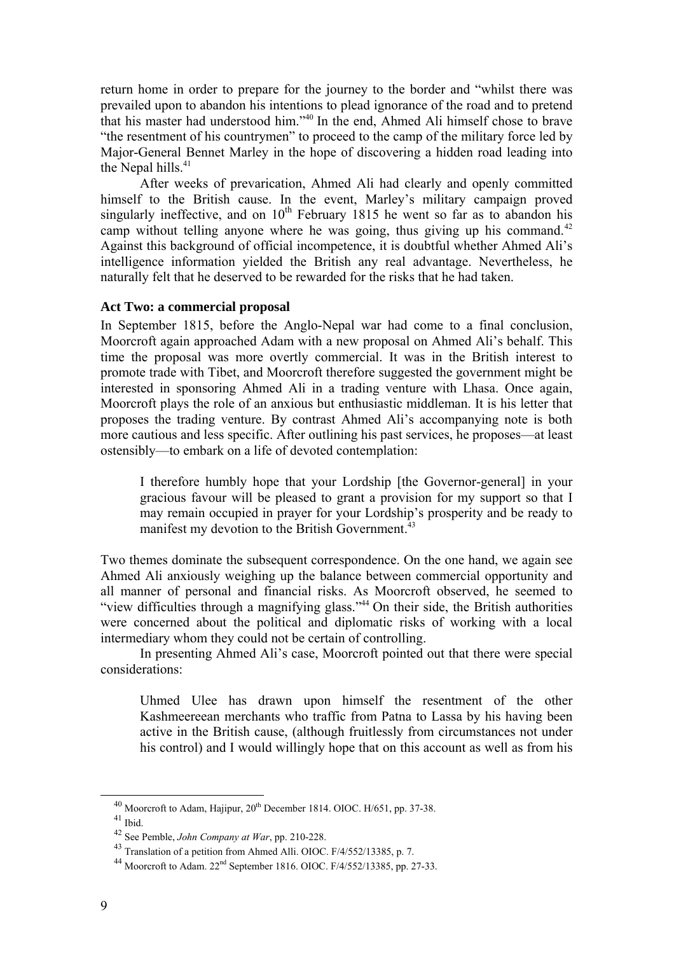return home in order to prepare for the journey to the border and "whilst there was prevailed upon to abandon his intentions to plead ignorance of the road and to pretend that his master had understood him."40 In the end, Ahmed Ali himself chose to brave "the resentment of his countrymen" to proceed to the camp of the military force led by Major-General Bennet Marley in the hope of discovering a hidden road leading into the Nepal hills. $41$ 

After weeks of prevarication, Ahmed Ali had clearly and openly committed himself to the British cause. In the event, Marley's military campaign proved singularly ineffective, and on  $10<sup>th</sup>$  February 1815 he went so far as to abandon his camp without telling anyone where he was going, thus giving up his command.<sup>42</sup> Against this background of official incompetence, it is doubtful whether Ahmed Ali's intelligence information yielded the British any real advantage. Nevertheless, he naturally felt that he deserved to be rewarded for the risks that he had taken.

## **Act Two: a commercial proposal**

In September 1815, before the Anglo-Nepal war had come to a final conclusion, Moorcroft again approached Adam with a new proposal on Ahmed Ali's behalf. This time the proposal was more overtly commercial. It was in the British interest to promote trade with Tibet, and Moorcroft therefore suggested the government might be interested in sponsoring Ahmed Ali in a trading venture with Lhasa. Once again, Moorcroft plays the role of an anxious but enthusiastic middleman. It is his letter that proposes the trading venture. By contrast Ahmed Ali's accompanying note is both more cautious and less specific. After outlining his past services, he proposes—at least ostensibly—to embark on a life of devoted contemplation:

I therefore humbly hope that your Lordship [the Governor-general] in your gracious favour will be pleased to grant a provision for my support so that I may remain occupied in prayer for your Lordship's prosperity and be ready to manifest my devotion to the British Government.<sup>43</sup>

Two themes dominate the subsequent correspondence. On the one hand, we again see Ahmed Ali anxiously weighing up the balance between commercial opportunity and all manner of personal and financial risks. As Moorcroft observed, he seemed to "view difficulties through a magnifying glass."44 On their side, the British authorities were concerned about the political and diplomatic risks of working with a local intermediary whom they could not be certain of controlling.

In presenting Ahmed Ali's case, Moorcroft pointed out that there were special considerations:

Uhmed Ulee has drawn upon himself the resentment of the other Kashmeereean merchants who traffic from Patna to Lassa by his having been active in the British cause, (although fruitlessly from circumstances not under his control) and I would willingly hope that on this account as well as from his

 $^{40}$  Moorcroft to Adam, Hajipur,  $20^{th}$  December 1814. OIOC. H/651, pp. 37-38.

 $41$  Ibid.

<sup>42</sup> See Pemble, *John Company at War*, pp. 210-228.

<sup>43</sup> Translation of a petition from Ahmed Alli. OIOC. F/4/552/13385, p. 7.

<sup>44</sup> Moorcroft to Adam. 22nd September 1816. OIOC. F/4/552/13385, pp. 27-33.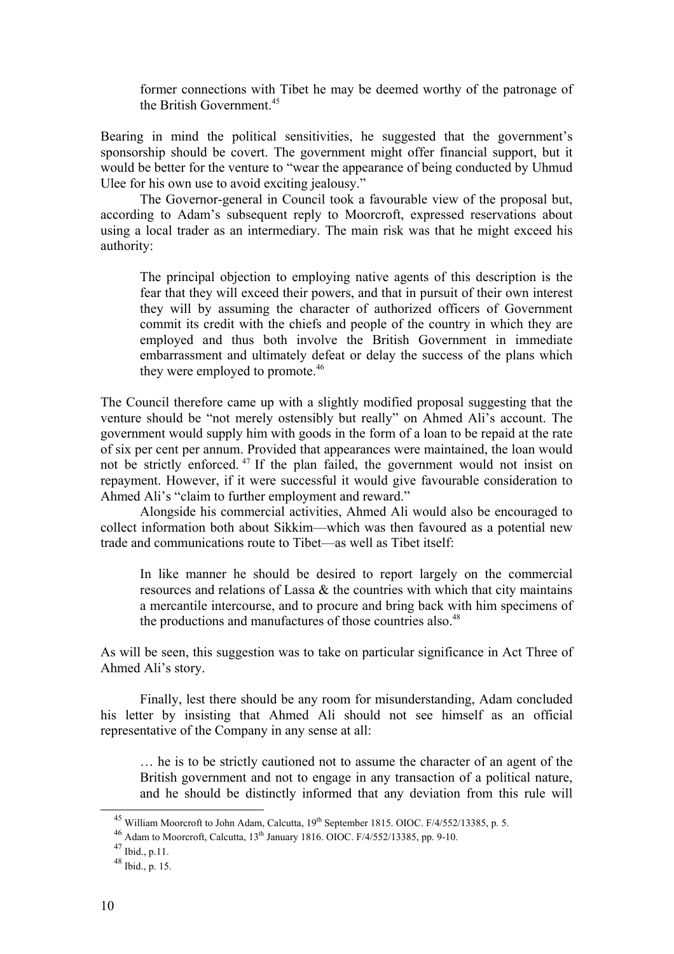former connections with Tibet he may be deemed worthy of the patronage of the British Government.45

Bearing in mind the political sensitivities, he suggested that the government's sponsorship should be covert. The government might offer financial support, but it would be better for the venture to "wear the appearance of being conducted by Uhmud Ulee for his own use to avoid exciting jealousy."

The Governor-general in Council took a favourable view of the proposal but, according to Adam's subsequent reply to Moorcroft, expressed reservations about using a local trader as an intermediary. The main risk was that he might exceed his authority:

The principal objection to employing native agents of this description is the fear that they will exceed their powers, and that in pursuit of their own interest they will by assuming the character of authorized officers of Government commit its credit with the chiefs and people of the country in which they are employed and thus both involve the British Government in immediate embarrassment and ultimately defeat or delay the success of the plans which they were employed to promote.<sup>46</sup>

The Council therefore came up with a slightly modified proposal suggesting that the venture should be "not merely ostensibly but really" on Ahmed Ali's account. The government would supply him with goods in the form of a loan to be repaid at the rate of six per cent per annum. Provided that appearances were maintained, the loan would not be strictly enforced.<sup>47</sup> If the plan failed, the government would not insist on repayment. However, if it were successful it would give favourable consideration to Ahmed Ali's "claim to further employment and reward."

Alongside his commercial activities, Ahmed Ali would also be encouraged to collect information both about Sikkim—which was then favoured as a potential new trade and communications route to Tibet—as well as Tibet itself:

In like manner he should be desired to report largely on the commercial resources and relations of Lassa  $\&$  the countries with which that city maintains a mercantile intercourse, and to procure and bring back with him specimens of the productions and manufactures of those countries also.<sup>48</sup>

As will be seen, this suggestion was to take on particular significance in Act Three of Ahmed Ali's story.

Finally, lest there should be any room for misunderstanding, Adam concluded his letter by insisting that Ahmed Ali should not see himself as an official representative of the Company in any sense at all:

… he is to be strictly cautioned not to assume the character of an agent of the British government and not to engage in any transaction of a political nature, and he should be distinctly informed that any deviation from this rule will

<sup>&</sup>lt;sup>45</sup> William Moorcroft to John Adam, Calcutta, 19<sup>th</sup> September 1815. OIOC. F/4/552/13385, p. 5.

<sup>46</sup> Adam to Moorcroft, Calcutta, 13th January 1816. OIOC. F/4/552/13385, pp. 9-10.

 $47$  Ibid., p.11.

<sup>48</sup> Ibid., p. 15.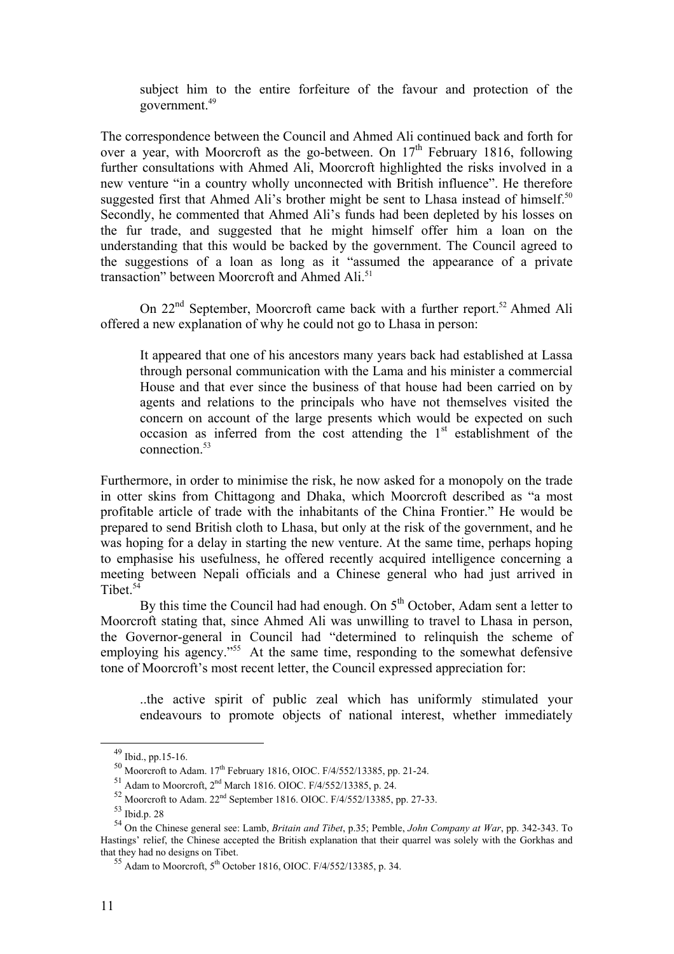subject him to the entire forfeiture of the favour and protection of the government.49

The correspondence between the Council and Ahmed Ali continued back and forth for over a year, with Moorcroft as the go-between. On  $17<sup>th</sup>$  February 1816, following further consultations with Ahmed Ali, Moorcroft highlighted the risks involved in a new venture "in a country wholly unconnected with British influence". He therefore suggested first that Ahmed Ali's brother might be sent to Lhasa instead of himself.<sup>50</sup> Secondly, he commented that Ahmed Ali's funds had been depleted by his losses on the fur trade, and suggested that he might himself offer him a loan on the understanding that this would be backed by the government. The Council agreed to the suggestions of a loan as long as it "assumed the appearance of a private transaction" between Moorcroft and Ahmed Ali.<sup>51</sup>

On 22<sup>nd</sup> September, Moorcroft came back with a further report.<sup>52</sup> Ahmed Ali offered a new explanation of why he could not go to Lhasa in person:

It appeared that one of his ancestors many years back had established at Lassa through personal communication with the Lama and his minister a commercial House and that ever since the business of that house had been carried on by agents and relations to the principals who have not themselves visited the concern on account of the large presents which would be expected on such occasion as inferred from the cost attending the  $1<sup>st</sup>$  establishment of the connection<sup>53</sup>

Furthermore, in order to minimise the risk, he now asked for a monopoly on the trade in otter skins from Chittagong and Dhaka, which Moorcroft described as "a most profitable article of trade with the inhabitants of the China Frontier." He would be prepared to send British cloth to Lhasa, but only at the risk of the government, and he was hoping for a delay in starting the new venture. At the same time, perhaps hoping to emphasise his usefulness, he offered recently acquired intelligence concerning a meeting between Nepali officials and a Chinese general who had just arrived in Tibet.<sup>54</sup>

By this time the Council had had enough. On  $5<sup>th</sup>$  October, Adam sent a letter to Moorcroft stating that, since Ahmed Ali was unwilling to travel to Lhasa in person, the Governor-general in Council had "determined to relinquish the scheme of employing his agency."<sup>55</sup> At the same time, responding to the somewhat defensive tone of Moorcroft's most recent letter, the Council expressed appreciation for:

..the active spirit of public zeal which has uniformly stimulated your endeavours to promote objects of national interest, whether immediately

 <sup>49</sup> Ibid., pp.15-16.

 $^{50}$  Moorcroft to Adam.  $17^{th}$  February 1816, OIOC. F/4/552/13385, pp. 21-24.

 $^{51}$  Adam to Moorcroft, 2<sup>nd</sup> March 1816. OIOC. F/4/552/13385, p. 24.

 $52$  Moorcroft to Adam.  $22<sup>nd</sup>$  September 1816. OIOC. F/4/552/13385, pp. 27-33.

<sup>53</sup> Ibid.p. 28

<sup>54</sup> On the Chinese general see: Lamb, *Britain and Tibet*, p.35; Pemble, *John Company at War*, pp. 342-343. To Hastings' relief, the Chinese accepted the British explanation that their quarrel was solely with the Gorkhas and that they had no designs on Tibet.

 $55$  Adam to Moorcroft,  $5<sup>th</sup>$  October 1816, OIOC. F/4/552/13385, p. 34.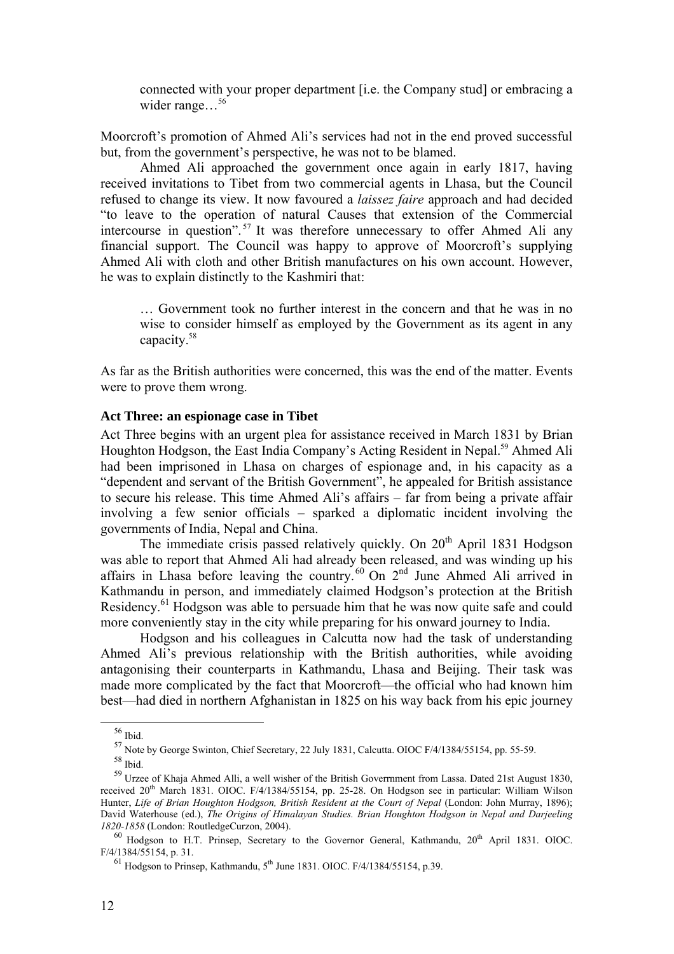connected with your proper department [i.e. the Company stud] or embracing a wider range...<sup>56</sup>

Moorcroft's promotion of Ahmed Ali's services had not in the end proved successful but, from the government's perspective, he was not to be blamed.

Ahmed Ali approached the government once again in early 1817, having received invitations to Tibet from two commercial agents in Lhasa, but the Council refused to change its view. It now favoured a *laissez faire* approach and had decided "to leave to the operation of natural Causes that extension of the Commercial intercourse in question".<sup>57</sup> It was therefore unnecessary to offer Ahmed Ali any financial support. The Council was happy to approve of Moorcroft's supplying Ahmed Ali with cloth and other British manufactures on his own account. However, he was to explain distinctly to the Kashmiri that:

… Government took no further interest in the concern and that he was in no wise to consider himself as employed by the Government as its agent in any capacity.58

As far as the British authorities were concerned, this was the end of the matter. Events were to prove them wrong.

## **Act Three: an espionage case in Tibet**

Act Three begins with an urgent plea for assistance received in March 1831 by Brian Houghton Hodgson, the East India Company's Acting Resident in Nepal.<sup>59</sup> Ahmed Ali had been imprisoned in Lhasa on charges of espionage and, in his capacity as a "dependent and servant of the British Government", he appealed for British assistance to secure his release. This time Ahmed Ali's affairs – far from being a private affair involving a few senior officials – sparked a diplomatic incident involving the governments of India, Nepal and China.

The immediate crisis passed relatively quickly. On  $20<sup>th</sup>$  April 1831 Hodgson was able to report that Ahmed Ali had already been released, and was winding up his affairs in Lhasa before leaving the country.<sup>60</sup> On  $2<sup>nd</sup>$  June Ahmed Ali arrived in Kathmandu in person, and immediately claimed Hodgson's protection at the British Residency.<sup>61</sup> Hodgson was able to persuade him that he was now quite safe and could more conveniently stay in the city while preparing for his onward journey to India.

Hodgson and his colleagues in Calcutta now had the task of understanding Ahmed Ali's previous relationship with the British authorities, while avoiding antagonising their counterparts in Kathmandu, Lhasa and Beijing. Their task was made more complicated by the fact that Moorcroft—the official who had known him best—had died in northern Afghanistan in 1825 on his way back from his epic journey

 <sup>56</sup> Ibid.

<sup>57</sup> Note by George Swinton, Chief Secretary, 22 July 1831, Calcutta. OIOC F/4/1384/55154, pp. 55-59.

 $58$  Ibid.

<sup>59</sup> Urzee of Khaja Ahmed Alli, a well wisher of the British Goverrnment from Lassa. Dated 21st August 1830, received 20th March 1831. OIOC. F/4/1384/55154, pp. 25-28. On Hodgson see in particular: William Wilson Hunter, *Life of Brian Houghton Hodgson, British Resident at the Court of Nepal* (London: John Murray, 1896); David Waterhouse (ed.), *The Origins of Himalayan Studies. Brian Houghton Hodgson in Nepal and Darjeeling 1820-1858* (London: RoutledgeCurzon, 2004).

<sup>&</sup>lt;sup>60</sup> Hodgson to H.T. Prinsep, Secretary to the Governor General, Kathmandu, 20<sup>th</sup> April 1831. OIOC. F/4/1384/55154, p. 31.

 $61$  Hodgson to Prinsep, Kathmandu,  $5<sup>th</sup>$  June 1831. OIOC. F/4/1384/55154, p.39.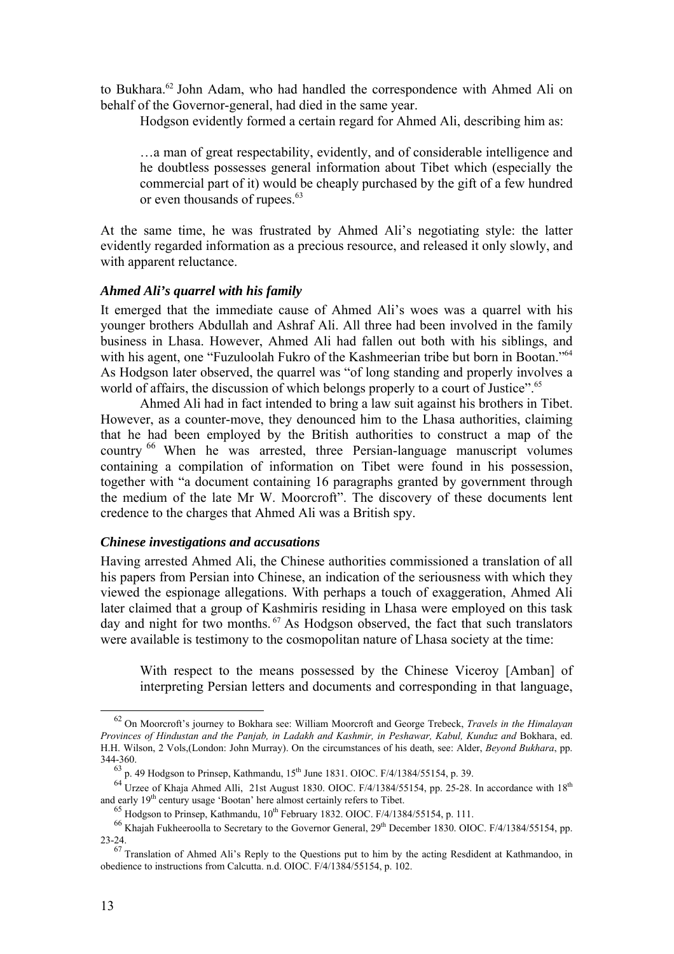to Bukhara.<sup>62</sup> John Adam, who had handled the correspondence with Ahmed Ali on behalf of the Governor-general, had died in the same year.

Hodgson evidently formed a certain regard for Ahmed Ali, describing him as:

…a man of great respectability, evidently, and of considerable intelligence and he doubtless possesses general information about Tibet which (especially the commercial part of it) would be cheaply purchased by the gift of a few hundred or even thousands of rupees.<sup>63</sup>

At the same time, he was frustrated by Ahmed Ali's negotiating style: the latter evidently regarded information as a precious resource, and released it only slowly, and with apparent reluctance.

## *Ahmed Ali's quarrel with his family*

It emerged that the immediate cause of Ahmed Ali's woes was a quarrel with his younger brothers Abdullah and Ashraf Ali. All three had been involved in the family business in Lhasa. However, Ahmed Ali had fallen out both with his siblings, and with his agent, one "Fuzuloolah Fukro of the Kashmeerian tribe but born in Bootan."<sup>64</sup> As Hodgson later observed, the quarrel was "of long standing and properly involves a world of affairs, the discussion of which belongs properly to a court of Justice".<sup>65</sup>

Ahmed Ali had in fact intended to bring a law suit against his brothers in Tibet. However, as a counter-move, they denounced him to the Lhasa authorities, claiming that he had been employed by the British authorities to construct a map of the country 66 When he was arrested, three Persian-language manuscript volumes containing a compilation of information on Tibet were found in his possession, together with "a document containing 16 paragraphs granted by government through the medium of the late Mr W. Moorcroft". The discovery of these documents lent credence to the charges that Ahmed Ali was a British spy.

## *Chinese investigations and accusations*

Having arrested Ahmed Ali, the Chinese authorities commissioned a translation of all his papers from Persian into Chinese, an indication of the seriousness with which they viewed the espionage allegations. With perhaps a touch of exaggeration, Ahmed Ali later claimed that a group of Kashmiris residing in Lhasa were employed on this task day and night for two months.<sup>67</sup> As Hodgson observed, the fact that such translators were available is testimony to the cosmopolitan nature of Lhasa society at the time:

With respect to the means possessed by the Chinese Viceroy [Amban] of interpreting Persian letters and documents and corresponding in that language,

 <sup>62</sup> On Moorcroft's journey to Bokhara see: William Moorcroft and George Trebeck, *Travels in the Himalayan Provinces of Hindustan and the Panjab, in Ladakh and Kashmir, in Peshawar, Kabul, Kunduz and* Bokhara, ed. H.H. Wilson, 2 Vols,(London: John Murray). On the circumstances of his death, see: Alder, *Beyond Bukhara*, pp. 344-360.

 $^{63}$  p. 49 Hodgson to Prinsep, Kathmandu, 15<sup>th</sup> June 1831. OIOC. F/4/1384/55154, p. 39.

 $64$  Urzee of Khaja Ahmed Alli, 21st August 1830. OIOC.  $F/4/1384/55154$ , pp. 25-28. In accordance with  $18<sup>th</sup>$ and early 19<sup>th</sup> century usage 'Bootan' here almost certainly refers to Tibet.

 $^{65}$  Hodgson to Prinsep, Kathmandu,  $10^{th}$  February 1832, OIOC. F/4/1384/55154, p. 111.

<sup>66</sup> Khajah Fukheeroolla to Secretary to the Governor General,  $29<sup>th</sup>$  December 1830. OIOC. F/4/1384/55154, pp. 23-24.

<sup>&</sup>lt;sup>67</sup> Translation of Ahmed Ali's Reply to the Questions put to him by the acting Resdident at Kathmandoo, in obedience to instructions from Calcutta. n.d. OIOC. F/4/1384/55154, p. 102.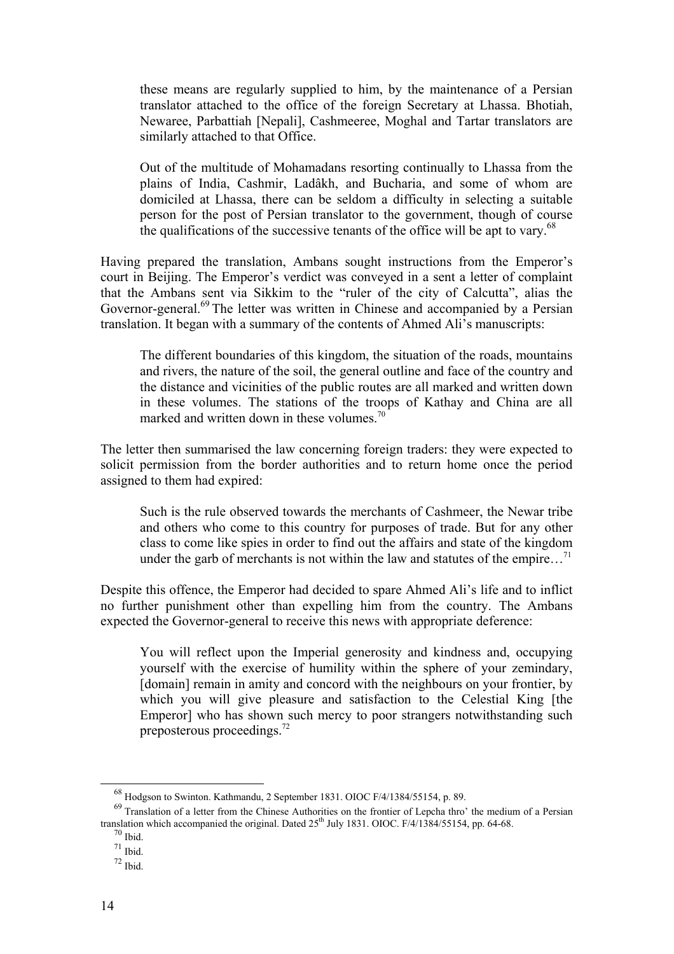these means are regularly supplied to him, by the maintenance of a Persian translator attached to the office of the foreign Secretary at Lhassa. Bhotiah, Newaree, Parbattiah [Nepali], Cashmeeree, Moghal and Tartar translators are similarly attached to that Office.

Out of the multitude of Mohamadans resorting continually to Lhassa from the plains of India, Cashmir, Ladâkh, and Bucharia, and some of whom are domiciled at Lhassa, there can be seldom a difficulty in selecting a suitable person for the post of Persian translator to the government, though of course the qualifications of the successive tenants of the office will be apt to vary.<sup>68</sup>

Having prepared the translation, Ambans sought instructions from the Emperor's court in Beijing. The Emperor's verdict was conveyed in a sent a letter of complaint that the Ambans sent via Sikkim to the "ruler of the city of Calcutta", alias the Governor-general.<sup>69</sup> The letter was written in Chinese and accompanied by a Persian translation. It began with a summary of the contents of Ahmed Ali's manuscripts:

The different boundaries of this kingdom, the situation of the roads, mountains and rivers, the nature of the soil, the general outline and face of the country and the distance and vicinities of the public routes are all marked and written down in these volumes. The stations of the troops of Kathay and China are all marked and written down in these volumes  $70<sup>70</sup>$ 

The letter then summarised the law concerning foreign traders: they were expected to solicit permission from the border authorities and to return home once the period assigned to them had expired:

Such is the rule observed towards the merchants of Cashmeer, the Newar tribe and others who come to this country for purposes of trade. But for any other class to come like spies in order to find out the affairs and state of the kingdom under the garb of merchants is not within the law and statutes of the empire...<sup>71</sup>

Despite this offence, the Emperor had decided to spare Ahmed Ali's life and to inflict no further punishment other than expelling him from the country. The Ambans expected the Governor-general to receive this news with appropriate deference:

You will reflect upon the Imperial generosity and kindness and, occupying yourself with the exercise of humility within the sphere of your zemindary, [domain] remain in amity and concord with the neighbours on your frontier, by which you will give pleasure and satisfaction to the Celestial King [the Emperor] who has shown such mercy to poor strangers notwithstanding such preposterous proceedings.72

 <sup>68</sup> Hodgson to Swinton. Kathmandu, 2 September 1831. OIOC F/4/1384/55154, p. 89.

<sup>&</sup>lt;sup>69</sup> Translation of a letter from the Chinese Authorities on the frontier of Lepcha thro' the medium of a Persian translation which accompanied the original. Dated  $25<sup>th</sup>$  July 1831. OIOC. F/4/1384/55154, pp. 64-68.

<sup>70</sup> Ibid.

 $71$  Ibid.

 $72$  Ibid.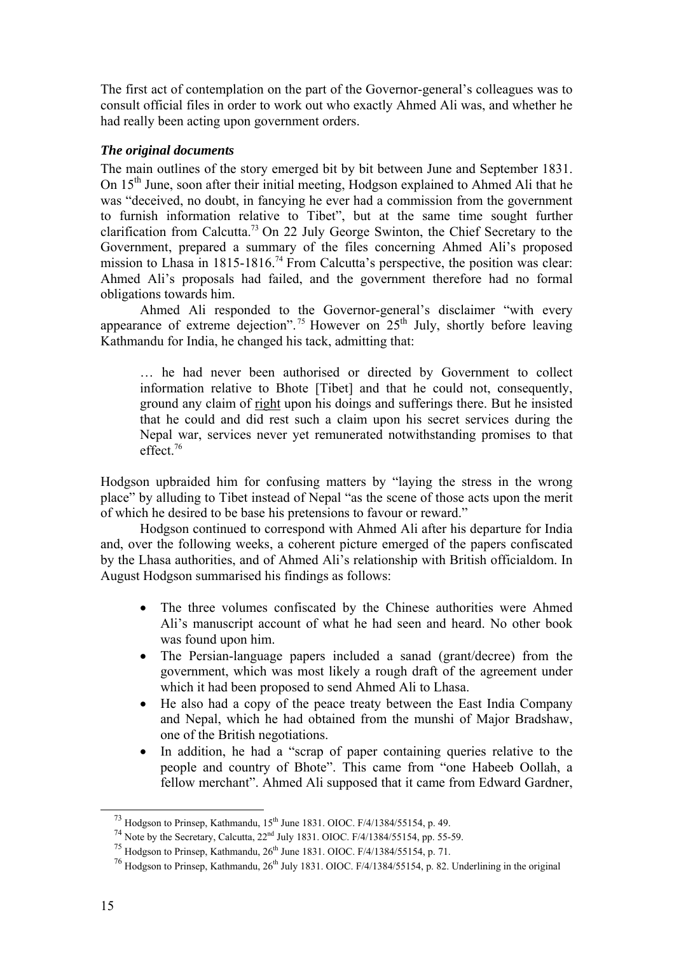The first act of contemplation on the part of the Governor-general's colleagues was to consult official files in order to work out who exactly Ahmed Ali was, and whether he had really been acting upon government orders.

# *The original documents*

The main outlines of the story emerged bit by bit between June and September 1831. On 15<sup>th</sup> June, soon after their initial meeting, Hodgson explained to Ahmed Ali that he was "deceived, no doubt, in fancying he ever had a commission from the government to furnish information relative to Tibet", but at the same time sought further clarification from Calcutta.73 On 22 July George Swinton, the Chief Secretary to the Government, prepared a summary of the files concerning Ahmed Ali's proposed mission to Lhasa in 1815-1816.<sup>74</sup> From Calcutta's perspective, the position was clear: Ahmed Ali's proposals had failed, and the government therefore had no formal obligations towards him.

Ahmed Ali responded to the Governor-general's disclaimer "with every appearance of extreme dejection".<sup>75</sup> However on  $25<sup>th</sup>$  July, shortly before leaving Kathmandu for India, he changed his tack, admitting that:

… he had never been authorised or directed by Government to collect information relative to Bhote [Tibet] and that he could not, consequently, ground any claim of right upon his doings and sufferings there. But he insisted that he could and did rest such a claim upon his secret services during the Nepal war, services never yet remunerated notwithstanding promises to that effect.<sup>76</sup>

Hodgson upbraided him for confusing matters by "laying the stress in the wrong place" by alluding to Tibet instead of Nepal "as the scene of those acts upon the merit of which he desired to be base his pretensions to favour or reward."

Hodgson continued to correspond with Ahmed Ali after his departure for India and, over the following weeks, a coherent picture emerged of the papers confiscated by the Lhasa authorities, and of Ahmed Ali's relationship with British officialdom. In August Hodgson summarised his findings as follows:

- The three volumes confiscated by the Chinese authorities were Ahmed Ali's manuscript account of what he had seen and heard. No other book was found upon him.
- The Persian-language papers included a sanad (grant/decree) from the government, which was most likely a rough draft of the agreement under which it had been proposed to send Ahmed Ali to Lhasa.
- He also had a copy of the peace treaty between the East India Company and Nepal, which he had obtained from the munshi of Major Bradshaw, one of the British negotiations.
- In addition, he had a "scrap of paper containing queries relative to the people and country of Bhote". This came from "one Habeeb Oollah, a fellow merchant". Ahmed Ali supposed that it came from Edward Gardner,

 $^{73}$  Hodgson to Prinsep, Kathmandu, 15<sup>th</sup> June 1831. OIOC. F/4/1384/55154, p. 49.

<sup>74</sup> Note by the Secretary, Calcutta, 22nd July 1831. OIOC. F/4/1384/55154, pp. 55-59.

 $^{75}$  Hodgson to Prinsep, Kathmandu,  $26^{th}$  June 1831. OIOC. F/4/1384/55154, p. 71.

<sup>&</sup>lt;sup>76</sup> Hodgson to Prinsep, Kathmandu, 26<sup>th</sup> July 1831. OIOC. F/4/1384/55154, p. 82. Underlining in the original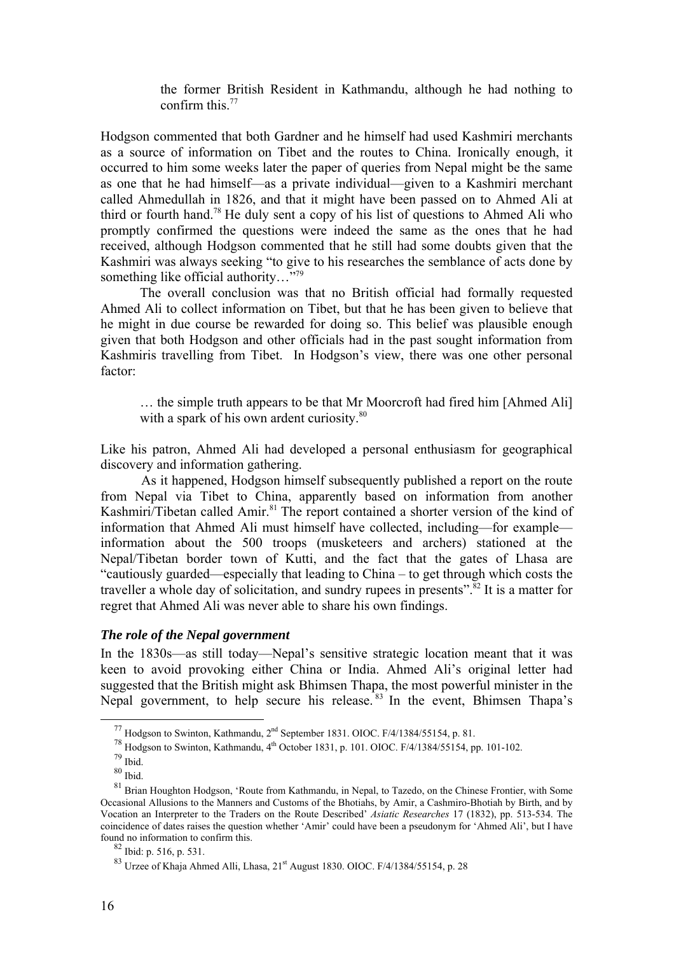the former British Resident in Kathmandu, although he had nothing to confirm this.77

Hodgson commented that both Gardner and he himself had used Kashmiri merchants as a source of information on Tibet and the routes to China. Ironically enough, it occurred to him some weeks later the paper of queries from Nepal might be the same as one that he had himself—as a private individual—given to a Kashmiri merchant called Ahmedullah in 1826, and that it might have been passed on to Ahmed Ali at third or fourth hand.<sup>78</sup> He duly sent a copy of his list of questions to Ahmed Ali who promptly confirmed the questions were indeed the same as the ones that he had received, although Hodgson commented that he still had some doubts given that the Kashmiri was always seeking "to give to his researches the semblance of acts done by something like official authority..."<sup>79</sup>

The overall conclusion was that no British official had formally requested Ahmed Ali to collect information on Tibet, but that he has been given to believe that he might in due course be rewarded for doing so. This belief was plausible enough given that both Hodgson and other officials had in the past sought information from Kashmiris travelling from Tibet. In Hodgson's view, there was one other personal factor:

… the simple truth appears to be that Mr Moorcroft had fired him [Ahmed Ali] with a spark of his own ardent curiosity.<sup>80</sup>

Like his patron, Ahmed Ali had developed a personal enthusiasm for geographical discovery and information gathering.

 As it happened, Hodgson himself subsequently published a report on the route from Nepal via Tibet to China, apparently based on information from another Kashmiri/Tibetan called Amir.<sup>81</sup> The report contained a shorter version of the kind of information that Ahmed Ali must himself have collected, including—for example information about the 500 troops (musketeers and archers) stationed at the Nepal/Tibetan border town of Kutti, and the fact that the gates of Lhasa are "cautiously guarded—especially that leading to China – to get through which costs the traveller a whole day of solicitation, and sundry rupees in presents".<sup>82</sup> It is a matter for regret that Ahmed Ali was never able to share his own findings.

# *The role of the Nepal government*

In the 1830s—as still today—Nepal's sensitive strategic location meant that it was keen to avoid provoking either China or India. Ahmed Ali's original letter had suggested that the British might ask Bhimsen Thapa, the most powerful minister in the Nepal government, to help secure his release.<sup>83</sup> In the event, Bhimsen Thapa's

 <sup>77</sup> Hodgson to Swinton, Kathmandu, 2nd September 1831. OIOC. F/4/1384/55154, p. 81.

<sup>&</sup>lt;sup>78</sup> Hodgson to Swinton, Kathmandu, 4<sup>th</sup> October 1831, p. 101. OIOC. F/4/1384/55154, pp. 101-102.

<sup>79</sup> Ibid.

 $80$  Ibid.

<sup>81</sup> Brian Houghton Hodgson, 'Route from Kathmandu, in Nepal, to Tazedo, on the Chinese Frontier, with Some Occasional Allusions to the Manners and Customs of the Bhotiahs, by Amir, a Cashmiro-Bhotiah by Birth, and by Vocation an Interpreter to the Traders on the Route Described' *Asiatic Researches* 17 (1832), pp. 513-534. The coincidence of dates raises the question whether 'Amir' could have been a pseudonym for 'Ahmed Ali', but I have found no information to confirm this.

<sup>82</sup> Ibid: p. 516, p. 531.

<sup>83</sup> Urzee of Khaja Ahmed Alli, Lhasa, 21<sup>st</sup> August 1830. OIOC. F/4/1384/55154, p. 28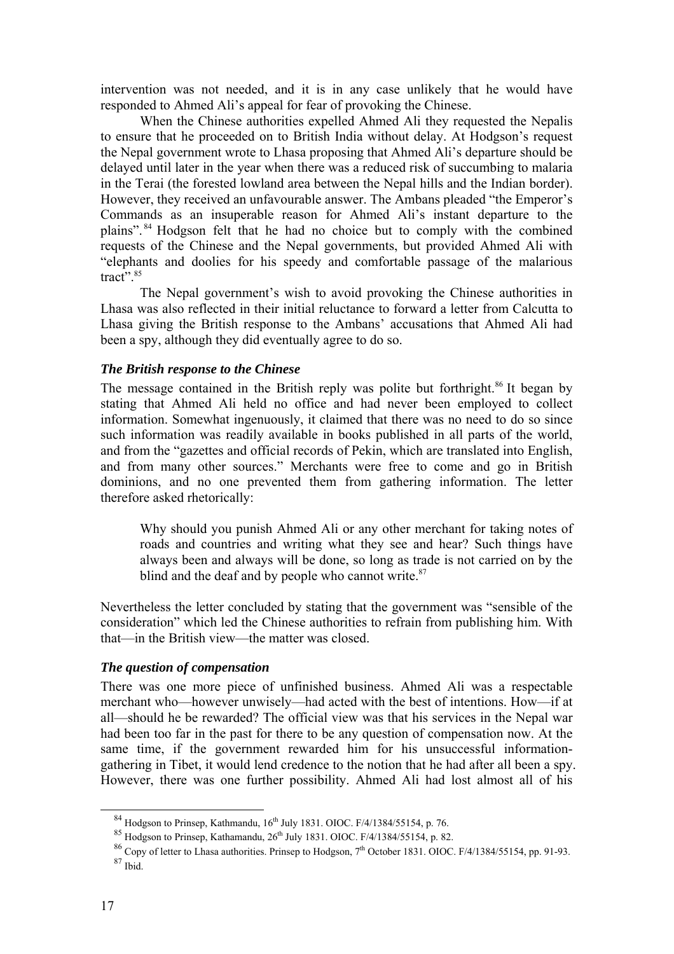intervention was not needed, and it is in any case unlikely that he would have responded to Ahmed Ali's appeal for fear of provoking the Chinese.

When the Chinese authorities expelled Ahmed Ali they requested the Nepalis to ensure that he proceeded on to British India without delay. At Hodgson's request the Nepal government wrote to Lhasa proposing that Ahmed Ali's departure should be delayed until later in the year when there was a reduced risk of succumbing to malaria in the Terai (the forested lowland area between the Nepal hills and the Indian border). However, they received an unfavourable answer. The Ambans pleaded "the Emperor's Commands as an insuperable reason for Ahmed Ali's instant departure to the plains". 84 Hodgson felt that he had no choice but to comply with the combined requests of the Chinese and the Nepal governments, but provided Ahmed Ali with "elephants and doolies for his speedy and comfortable passage of the malarious tract".<sup>85</sup>

The Nepal government's wish to avoid provoking the Chinese authorities in Lhasa was also reflected in their initial reluctance to forward a letter from Calcutta to Lhasa giving the British response to the Ambans' accusations that Ahmed Ali had been a spy, although they did eventually agree to do so.

## *The British response to the Chinese*

The message contained in the British reply was polite but forthright.<sup>86</sup> It began by stating that Ahmed Ali held no office and had never been employed to collect information. Somewhat ingenuously, it claimed that there was no need to do so since such information was readily available in books published in all parts of the world, and from the "gazettes and official records of Pekin, which are translated into English, and from many other sources." Merchants were free to come and go in British dominions, and no one prevented them from gathering information. The letter therefore asked rhetorically:

Why should you punish Ahmed Ali or any other merchant for taking notes of roads and countries and writing what they see and hear? Such things have always been and always will be done, so long as trade is not carried on by the blind and the deaf and by people who cannot write.<sup>87</sup>

Nevertheless the letter concluded by stating that the government was "sensible of the consideration" which led the Chinese authorities to refrain from publishing him. With that—in the British view—the matter was closed.

## *The question of compensation*

There was one more piece of unfinished business. Ahmed Ali was a respectable merchant who—however unwisely—had acted with the best of intentions. How—if at all—should he be rewarded? The official view was that his services in the Nepal war had been too far in the past for there to be any question of compensation now. At the same time, if the government rewarded him for his unsuccessful informationgathering in Tibet, it would lend credence to the notion that he had after all been a spy. However, there was one further possibility. Ahmed Ali had lost almost all of his

 $84$  Hodgson to Prinsep, Kathmandu,  $16^{th}$  July 1831. OIOC. F/4/1384/55154, p. 76.

 $85$  Hodgson to Prinsep, Kathamandu,  $26<sup>th</sup>$  July 1831. OIOC. F/4/1384/55154, p. 82.

<sup>86</sup> Copy of letter to Lhasa authorities. Prinsep to Hodgson, 7<sup>th</sup> October 1831. OIOC. F/4/1384/55154, pp. 91-93.

<sup>87</sup> Ibid.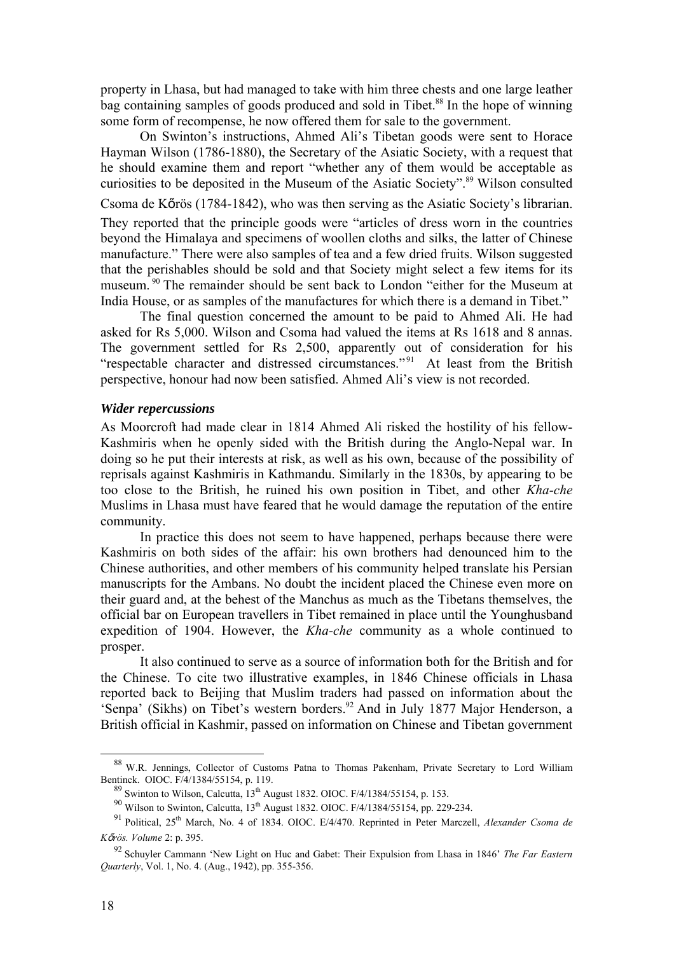property in Lhasa, but had managed to take with him three chests and one large leather bag containing samples of goods produced and sold in Tibet.<sup>88</sup> In the hope of winning some form of recompense, he now offered them for sale to the government.

On Swinton's instructions, Ahmed Ali's Tibetan goods were sent to Horace Hayman Wilson (1786-1880), the Secretary of the Asiatic Society, with a request that he should examine them and report "whether any of them would be acceptable as curiosities to be deposited in the Museum of the Asiatic Society".89 Wilson consulted Csoma de Kőrös (1784-1842), who was then serving as the Asiatic Society's librarian. They reported that the principle goods were "articles of dress worn in the countries beyond the Himalaya and specimens of woollen cloths and silks, the latter of Chinese manufacture." There were also samples of tea and a few dried fruits. Wilson suggested that the perishables should be sold and that Society might select a few items for its museum. 90 The remainder should be sent back to London "either for the Museum at India House, or as samples of the manufactures for which there is a demand in Tibet."

The final question concerned the amount to be paid to Ahmed Ali. He had asked for Rs 5,000. Wilson and Csoma had valued the items at Rs 1618 and 8 annas. The government settled for Rs 2,500, apparently out of consideration for his "respectable character and distressed circumstances."<sup>91</sup> At least from the British perspective, honour had now been satisfied. Ahmed Ali's view is not recorded.

## *Wider repercussions*

As Moorcroft had made clear in 1814 Ahmed Ali risked the hostility of his fellow-Kashmiris when he openly sided with the British during the Anglo-Nepal war. In doing so he put their interests at risk, as well as his own, because of the possibility of reprisals against Kashmiris in Kathmandu. Similarly in the 1830s, by appearing to be too close to the British, he ruined his own position in Tibet, and other *Kha-che*  Muslims in Lhasa must have feared that he would damage the reputation of the entire community.

In practice this does not seem to have happened, perhaps because there were Kashmiris on both sides of the affair: his own brothers had denounced him to the Chinese authorities, and other members of his community helped translate his Persian manuscripts for the Ambans. No doubt the incident placed the Chinese even more on their guard and, at the behest of the Manchus as much as the Tibetans themselves, the official bar on European travellers in Tibet remained in place until the Younghusband expedition of 1904. However, the *Kha-che* community as a whole continued to prosper.

It also continued to serve as a source of information both for the British and for the Chinese. To cite two illustrative examples, in 1846 Chinese officials in Lhasa reported back to Beijing that Muslim traders had passed on information about the 'Senpa' (Sikhs) on Tibet's western borders.<sup>92</sup> And in July 1877 Major Henderson, a British official in Kashmir, passed on information on Chinese and Tibetan government

 <sup>88</sup> W.R. Jennings, Collector of Customs Patna to Thomas Pakenham, Private Secretary to Lord William Bentinck. OIOC. F/4/1384/55154, p. 119.

 $89$  Swinton to Wilson, Calcutta,  $13<sup>th</sup>$  August 1832. OIOC. F/4/1384/55154, p. 153.

 $90$  Wilson to Swinton, Calcutta,  $13^{th}$  August 1832. OIOC. F/4/1384/55154, pp. 229-234.

<sup>91</sup> Political, 25th March, No. 4 of 1834. OIOC. E/4/470. Reprinted in Peter Marczell, *Alexander Csoma de K*ő*rös. Volume* 2: p. 395.

<sup>92</sup> Schuyler Cammann 'New Light on Huc and Gabet: Their Expulsion from Lhasa in 1846' *The Far Eastern Quarterly*, Vol. 1, No. 4. (Aug., 1942), pp. 355-356.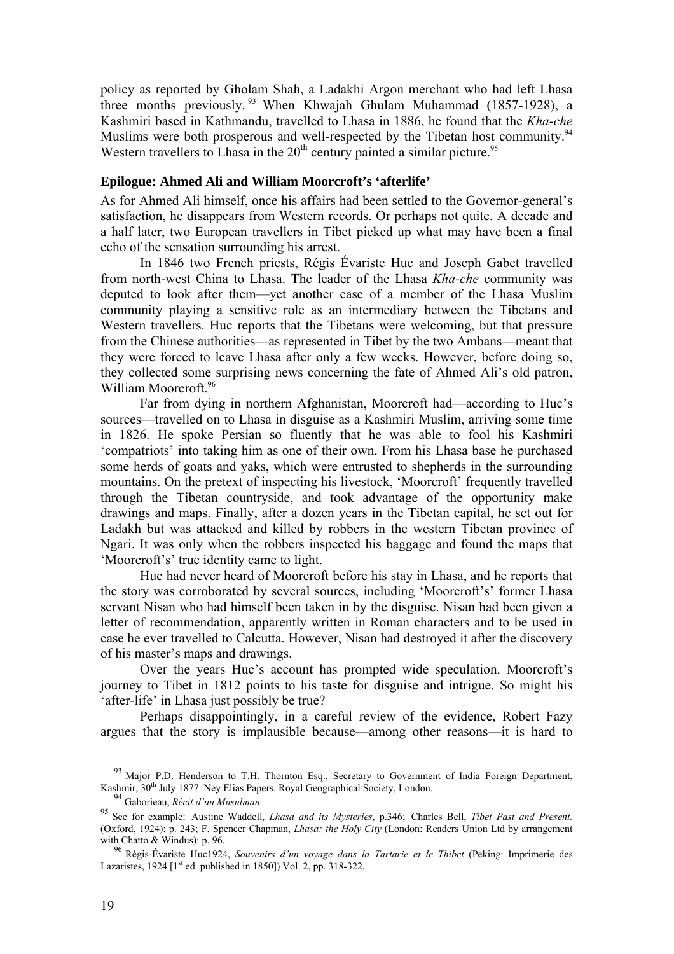policy as reported by Gholam Shah, a Ladakhi Argon merchant who had left Lhasa three months previously. 93 When Khwajah Ghulam Muhammad (1857-1928), a Kashmiri based in Kathmandu, travelled to Lhasa in 1886, he found that the *Kha-che*  Muslims were both prosperous and well-respected by the Tibetan host community.<sup>94</sup> Western travellers to Lhasa in the  $20<sup>th</sup>$  century painted a similar picture.<sup>95</sup>

## **Epilogue: Ahmed Ali and William Moorcroft's 'afterlife'**

As for Ahmed Ali himself, once his affairs had been settled to the Governor-general's satisfaction, he disappears from Western records. Or perhaps not quite. A decade and a half later, two European travellers in Tibet picked up what may have been a final echo of the sensation surrounding his arrest.

In 1846 two French priests, Régis Évariste Huc and Joseph Gabet travelled from north-west China to Lhasa. The leader of the Lhasa *Kha-che* community was deputed to look after them—yet another case of a member of the Lhasa Muslim community playing a sensitive role as an intermediary between the Tibetans and Western travellers. Huc reports that the Tibetans were welcoming, but that pressure from the Chinese authorities—as represented in Tibet by the two Ambans—meant that they were forced to leave Lhasa after only a few weeks. However, before doing so, they collected some surprising news concerning the fate of Ahmed Ali's old patron, William Moorcroft.<sup>96</sup>

Far from dying in northern Afghanistan, Moorcroft had—according to Huc's sources—travelled on to Lhasa in disguise as a Kashmiri Muslim, arriving some time in 1826. He spoke Persian so fluently that he was able to fool his Kashmiri 'compatriots' into taking him as one of their own. From his Lhasa base he purchased some herds of goats and yaks, which were entrusted to shepherds in the surrounding mountains. On the pretext of inspecting his livestock, 'Moorcroft' frequently travelled through the Tibetan countryside, and took advantage of the opportunity make drawings and maps. Finally, after a dozen years in the Tibetan capital, he set out for Ladakh but was attacked and killed by robbers in the western Tibetan province of Ngari. It was only when the robbers inspected his baggage and found the maps that 'Moorcroft's' true identity came to light.

Huc had never heard of Moorcroft before his stay in Lhasa, and he reports that the story was corroborated by several sources, including 'Moorcroft's' former Lhasa servant Nisan who had himself been taken in by the disguise. Nisan had been given a letter of recommendation, apparently written in Roman characters and to be used in case he ever travelled to Calcutta. However, Nisan had destroyed it after the discovery of his master's maps and drawings.

Over the years Huc's account has prompted wide speculation. Moorcroft's journey to Tibet in 1812 points to his taste for disguise and intrigue. So might his 'after-life' in Lhasa just possibly be true?

Perhaps disappointingly, in a careful review of the evidence, Robert Fazy argues that the story is implausible because—among other reasons—it is hard to

<sup>&</sup>lt;sup>93</sup> Major P.D. Henderson to T.H. Thornton Esq., Secretary to Government of India Foreign Department, Kashmir, 30<sup>th</sup> July 1877. Ney Elias Papers. Royal Geographical Society, London.<br><sup>94</sup> Gaborieau. *Récit d'un Musulman*.

<sup>&</sup>lt;sup>95</sup> See for example: Austine Waddell, *Lhasa and its Mysteries*, p.346; Charles Bell, *Tibet Past and Present*. (Oxford, 1924): p. 243; F. Spencer Chapman, *Lhasa: the Holy City* (London: Readers Union Ltd by arrangement with Chatto & Windus): p. 96.

<sup>96</sup> Régis-Évariste Huc1924, *Souvenirs d'un voyage dans la Tartarie et le Thibet* (Peking: Imprimerie des Lazaristes,  $1924 \left[1^{st}$  ed. published in 1850]) Vol. 2, pp. 318-322.